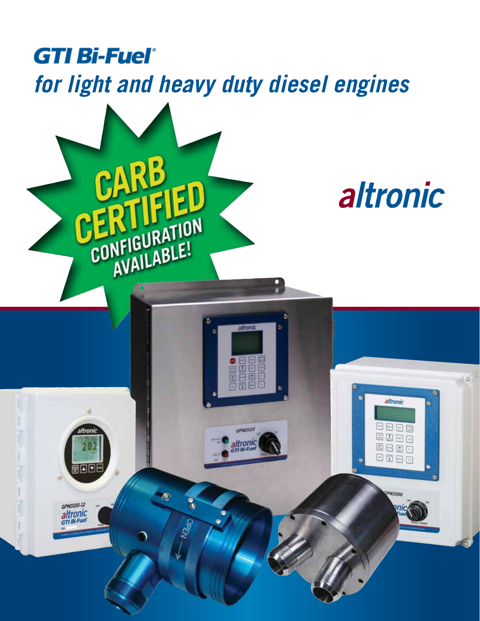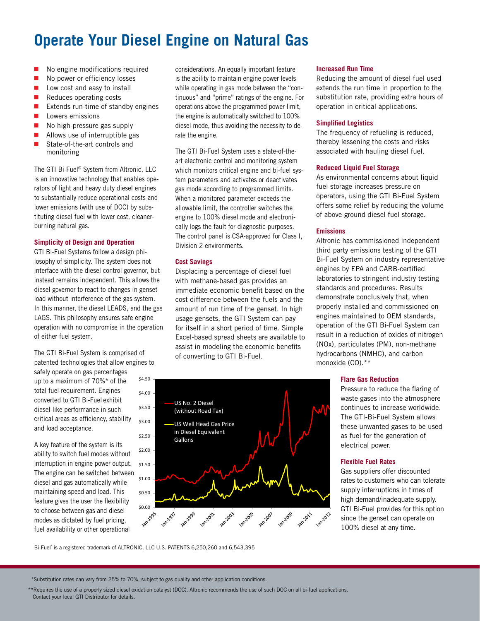# **Operate Your Diesel Engine on Natural Gas**

- No engine modifications required
- No power or efficiency losses
- **Low cost and easy to install**
- $\blacksquare$  Reduces operating costs
- Extends run-time of standby engines
- **L** Lowers emissions
- No high-pressure gas supply
- Allows use of interruptible gas
- State-of-the-art controls and monitoring

The GTI Bi-Fuel® System from Altronic, LLC is an innovative technology that enables operators of light and heavy duty diesel engines to substantially reduce operational costs and lower emissions (with use of DOC) by substituting diesel fuel with lower cost, cleanerburning natural gas.

### **Simplicity of Design and Operation**

GTI Bi-Fuel Systems follow a design philosophy of simplicity. The system does not interface with the diesel control governor, but instead remains independent. This allows the diesel governor to react to changes in genset load without interference of the gas system. In this manner, the diesel LEADS, and the gas LAGS. This philosophy ensures safe engine operation with no compromise in the operation of either fuel system.

The GTI Bi-Fuel System is comprised of patented technologies that allow engines to

safely operate on gas percentages up to a maximum of 70%\* of the total fuel requirement. Engines converted to GTI Bi-Fuel exhibit diesel-like performance in such critical areas as efficiency, stability and load acceptance.

A key feature of the system is its ability to switch fuel modes without interruption in engine power output. The engine can be switched between diesel and gas automatically while maintaining speed and load. This feature gives the user the flexibility to choose between gas and diesel modes as dictated by fuel pricing, fuel availability or other operational

considerations. An equally important feature is the ability to maintain engine power levels while operating in gas mode between the "continuous" and "prime" ratings of the engine. For operations above the programmed power limit, the engine is automatically switched to 100% diesel mode, thus avoiding the necessity to derate the engine.

The GTI Bi-Fuel System uses a state-of-theart electronic control and monitoring system which monitors critical engine and bi-fuel system parameters and activates or deactivates gas mode according to programmed limits. When a monitored parameter exceeds the allowable limit, the controller switches the engine to 100% diesel mode and electronically logs the fault for diagnostic purposes. The control panel is CSA-approved for Class I, Division 2 environments.

### **Cost Savings**

Displacing a percentage of diesel fuel with methane-based gas provides an immediate economic benefit based on the cost difference between the fuels and the amount of run time of the genset. In high usage gensets, the GTI System can pay for itself in a short period of time. Simple Excel-based spread sheets are available to assist in modeling the economic benefits of converting to GTI Bi-Fuel.



### **Increased Run Time**

Reducing the amount of diesel fuel used extends the run time in proportion to the substitution rate, providing extra hours of operation in critical applications.

### **Simplified Logistics**

The frequency of refueling is reduced, thereby lessening the costs and risks associated with hauling diesel fuel.

### **Reduced Liquid Fuel Storage**

As environmental concerns about liquid fuel storage increases pressure on operators, using the GTI Bi-Fuel System offers some relief by reducing the volume of above-ground diesel fuel storage.

### **Emissions**

Altronic has commissioned independent third party emissions testing of the GTI Bi-Fuel System on industry representative engines by EPA and CARB-certified laboratories to stringent industry testing standards and procedures. Results demonstrate conclusively that, when properly installed and commissioned on engines maintained to OEM standards, operation of the GTl Bi-Fuel System can result in a reduction of oxides of nitrogen (NOx), particulates (PM), non-methane hydrocarbons (NMHC), and carbon monoxide (CO).\*\*

### **Flare Gas Reduction**

Pressure to reduce the flaring of waste gases into the atmosphere continues to increase worldwide. The GTI-Bi-Fuel System allows these unwanted gases to be used as fuel for the generation of electrical power.

### **Flexible Fuel Rates**

Gas suppliers offer discounted rates to customers who can tolerate supply interruptions in times of high demand/inadequate supply. GTI Bi-Fuel provides for this option since the genset can operate on 100% diesel at any time.

Bi-Fuel® is a registered trademark of ALTRONIC, LLC U.S. PATENTS 6,250,260 and 6,543,395

\*Substitution rates can vary from 25% to 70%, subject to gas quality and other application conditions.

\*\*Requires the use of a properly sized diesel oxidation catalyst (DOC). Altronic recommends the use of such DOC on all bi-fuel applications. Contact your local GTI Distributor for details.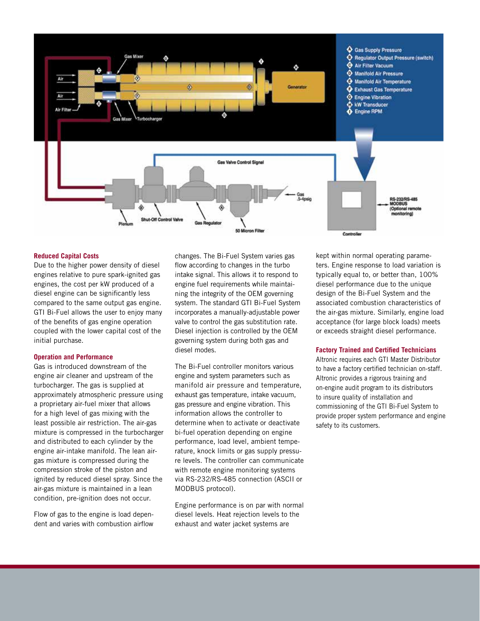

#### **Reduced Capital Costs**

Due to the higher power density of diesel engines relative to pure spark-ignited gas engines, the cost per kW produced of a diesel engine can be significantly less compared to the same output gas engine. GTI Bi-Fuel allows the user to enjoy many of the benefits of gas engine operation coupled with the lower capital cost of the initial purchase.

### **Operation and Performance**

Gas is introduced downstream of the engine air cleaner and upstream of the turbocharger. The gas is supplied at approximately atmospheric pressure using a proprietary air-fuel mixer that allows for a high level of gas mixing with the least possible air restriction. The air-gas mixture is compressed in the turbocharger and distributed to each cylinder by the engine air-intake manifold. The lean airgas mixture is compressed during the compression stroke of the piston and ignited by reduced diesel spray. Since the air-gas mixture is maintained in a lean condition, pre-ignition does not occur.

Flow of gas to the engine is load dependent and varies with combustion airflow changes. The Bi-Fuel System varies gas flow according to changes in the turbo intake signal. This allows it to respond to engine fuel requirements while maintaining the integrity of the OEM governing system. The standard GTI Bi-Fuel System incorporates a manually-adjustable power valve to control the gas substitution rate. Diesel injection is controlled by the OEM governing system during both gas and diesel modes.

The Bi-Fuel controller monitors various engine and system parameters such as manifold air pressure and temperature, exhaust gas temperature, intake vacuum, gas pressure and engine vibration. This information allows the controller to determine when to activate or deactivate bi-fuel operation depending on engine performance, load level, ambient temperature, knock limits or gas supply pressure levels. The controller can communicate with remote engine monitoring systems via RS-232/RS-485 connection (ASCII or MODBUS protocol).

Engine performance is on par with normal diesel levels. Heat rejection levels to the exhaust and water jacket systems are

kept within normal operating parameters. Engine response to load variation is typically equal to, or better than, 100% diesel performance due to the unique design of the Bi-Fuel System and the associated combustion characteristics of the air-gas mixture. Similarly, engine load acceptance (for large block loads) meets or exceeds straight diesel performance.

#### **Factory Trained and Certified Technicians**

Altronic requires each GTI Master Distributor to have a factory certified technician on-staff. Altronic provides a rigorous training and on-engine audit program to its distributors to insure quality of installation and commissioning of the GTI Bi-Fuel System to provide proper system performance and engine safety to its customers.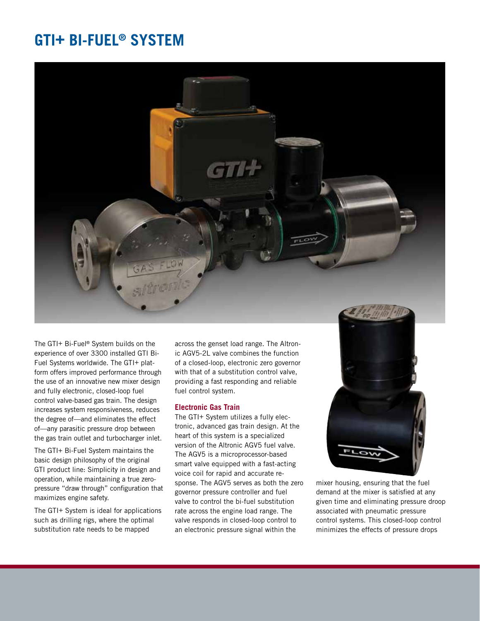## **GTI+ BI-FUEL® SYSTEM**



The GTI+ Bi-Fuel® System builds on the experience of over 3300 installed GTI Bi-Fuel Systems worldwide. The GTI+ platform offers improved performance through the use of an innovative new mixer design and fully electronic, closed-loop fuel control valve-based gas train. The design increases system responsiveness, reduces the degree of—and eliminates the effect of—any parasitic pressure drop between the gas train outlet and turbocharger inlet.

The GTI+ Bi-Fuel System maintains the basic design philosophy of the original GTI product line: Simplicity in design and operation, while maintaining a true zeropressure "draw through" configuration that maximizes engine safety.

The GTI+ System is ideal for applications such as drilling rigs, where the optimal substitution rate needs to be mapped

across the genset load range. The Altronic AGV5-2L valve combines the function of a closed-loop, electronic zero governor with that of a substitution control valve, providing a fast responding and reliable fuel control system.

### **Electronic Gas Train**

The GTI+ System utilizes a fully electronic, advanced gas train design. At the heart of this system is a specialized version of the Altronic AGV5 fuel valve. The AGV5 is a microprocessor-based smart valve equipped with a fast-acting voice coil for rapid and accurate response. The AGV5 serves as both the zero governor pressure controller and fuel valve to control the bi-fuel substitution rate across the engine load range. The valve responds in closed-loop control to an electronic pressure signal within the



mixer housing, ensuring that the fuel demand at the mixer is satisfied at any given time and eliminating pressure droop associated with pneumatic pressure control systems. This closed-loop control minimizes the effects of pressure drops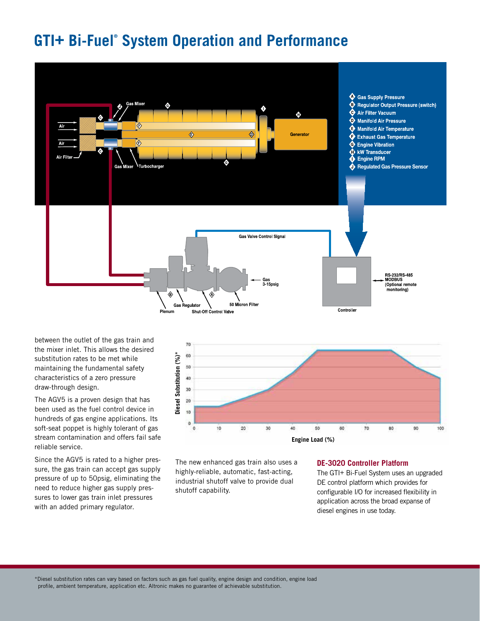## **GTI+ Bi-Fuel® System Operation and Performance**



between the outlet of the gas train and the mixer inlet. This allows the desired substitution rates to be met while maintaining the fundamental safety characteristics of a zero pressure draw-through design.

The AGV5 is a proven design that has been used as the fuel control device in hundreds of gas engine applications. Its soft-seat poppet is highly tolerant of gas stream contamination and offers fail safe reliable service.

Since the AGV5 is rated to a higher pressure, the gas train can accept gas supply pressure of up to 50psig, eliminating the need to reduce higher gas supply pressures to lower gas train inlet pressures with an added primary regulator.



The new enhanced gas train also uses a highly-reliable, automatic, fast-acting, industrial shutoff valve to provide dual shutoff capability.

#### **DE-3020 Controller Platform**

The GTI+ Bi-Fuel System uses an upgraded DE control platform which provides for configurable I/O for increased flexibility in application across the broad expanse of diesel engines in use today.

\*Diesel substitution rates can vary based on factors such as gas fuel quality, engine design and condition, engine load profile, ambient temperature, application etc. Altronic makes no guarantee of achievable substitution.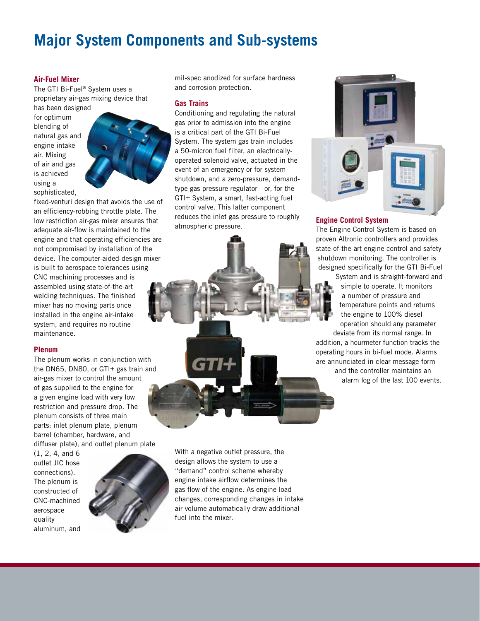## **Major System Components and Sub-systems**

### **Air-Fuel Mixer**

The GTI Bi-Fuel® System uses a proprietary air-gas mixing device that

has been designed for optimum blending of natural gas and engine intake air. Mixing of air and gas is achieved using a sophisticated,



fixed-venturi design that avoids the use of an efficiency-robbing throttle plate. The low restriction air-gas mixer ensures that adequate air-flow is maintained to the engine and that operating efficiencies are not compromised by installation of the device. The computer-aided-design mixer is built to aerospace tolerances using CNC machining processes and is assembled using state-of-the-art welding techniques. The finished mixer has no moving parts once installed in the engine air-intake system, and requires no routine maintenance.

### **Plenum**

The plenum works in conjunction with the DN65, DN80, or GTI+ gas train and air-gas mixer to control the amount of gas supplied to the engine for a given engine load with very low restriction and pressure drop. The plenum consists of three main parts: inlet plenum plate, plenum barrel (chamber, hardware, and diffuser plate), and outlet plenum plate

(1, 2, 4, and 6 outlet JIC hose connections). The plenum is constructed of CNC-machined aerospace quality aluminum, and



mil-spec anodized for surface hardness and corrosion protection.

### **Gas Trains**

Conditioning and regulating the natural gas prior to admission into the engine is a critical part of the GTI Bi-Fuel System. The system gas train includes a 50-micron fuel filter, an electricallyoperated solenoid valve, actuated in the event of an emergency or for system shutdown, and a zero-pressure, demandtype gas pressure regulator—or, for the GTI+ System, a smart, fast-acting fuel control valve. This latter component reduces the inlet gas pressure to roughly atmospheric pressure.



## **Engine Control System**

The Engine Control System is based on proven Altronic controllers and provides state-of-the-art engine control and safety shutdown monitoring. The controller is designed specifically for the GTI Bi-Fuel

System and is straight-forward and simple to operate. It monitors a number of pressure and temperature points and returns the engine to 100% diesel operation should any parameter

deviate from its normal range. In addition, a hourmeter function tracks the operating hours in bi-fuel mode. Alarms are annunciated in clear message form and the controller maintains an alarm log of the last 100 events.

With a negative outlet pressure, the design allows the system to use a "demand" control scheme whereby engine intake airflow determines the gas flow of the engine. As engine load changes, corresponding changes in intake air volume automatically draw additional fuel into the mixer.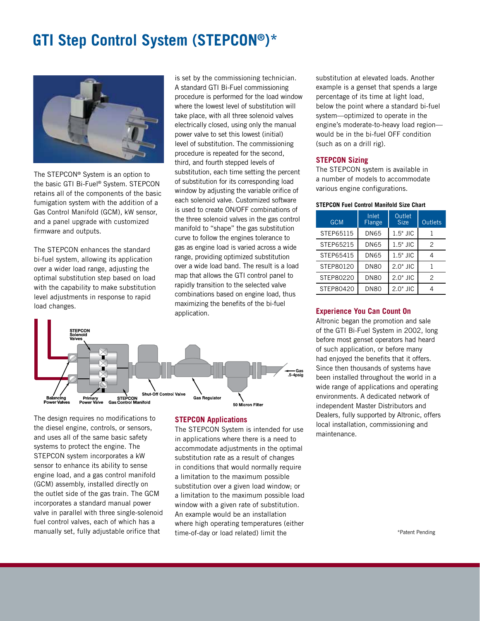## **GTI Step Control System (STEPCON®)\***



The STEPCON® System is an option to the basic GTI Bi-Fuel® System. STEPCON retains all of the components of the basic fumigation system with the addition of a Gas Control Manifold (GCM), kW sensor, and a panel upgrade with customized firmware and outputs.

The STEPCON enhances the standard bi-fuel system, allowing its application over a wider load range, adjusting the optimal substitution step based on load with the capability to make substitution level adjustments in response to rapid load changes.

is set by the commissioning technician. A standard GTI Bi-Fuel commissioning procedure is performed for the load window where the lowest level of substitution will take place, with all three solenoid valves electrically closed, using only the manual power valve to set this lowest (initial) level of substitution. The commissioning procedure is repeated for the second, third, and fourth stepped levels of substitution, each time setting the percent of substitution for its corresponding load window by adjusting the variable orifice of each solenoid valve. Customized software is used to create ON/OFF combinations of the three solenoid valves in the gas control manifold to "shape" the gas substitution curve to follow the engines tolerance to gas as engine load is varied across a wide range, providing optimized substitution over a wide load band. The result is a load map that allows the GTI control panel to rapidly transition to the selected valve combinations based on engine load, thus maximizing the benefits of the bi-fuel application.



The design requires no modifications to the diesel engine, controls, or sensors, and uses all of the same basic safety systems to protect the engine. The STEPCON system incorporates a kW sensor to enhance its ability to sense engine load, and a gas control manifold (GCM) assembly, installed directly on the outlet side of the gas train. The GCM incorporates a standard manual power valve in parallel with three single-solenoid fuel control valves, each of which has a manually set, fully adjustable orifice that

### **STEPCON Applications**

The STEPCON System is intended for use in applications where there is a need to accommodate adjustments in the optimal substitution rate as a result of changes in conditions that would normally require a limitation to the maximum possible substitution over a given load window; or a limitation to the maximum possible load window with a given rate of substitution. An example would be an installation where high operating temperatures (either time-of-day or load related) limit the \*Patent Pending

substitution at elevated loads. Another example is a genset that spends a large percentage of its time at light load, below the point where a standard bi-fuel system—optimized to operate in the engine's moderate-to-heavy load region would be in the bi-fuel OFF condition (such as on a drill rig).

### **STEPCON Sizing**

The STEPCON system is available in a number of models to accommodate various engine configurations.

#### **STEPCON Fuel Control Manifold Size Chart**

| <b>GCM</b> | Inlet<br>Flange | Outlet<br><b>Size</b> | <b>Outlets</b> |  |
|------------|-----------------|-----------------------|----------------|--|
| STEP65115  | DN65            | $1.5"$ JIC            |                |  |
| STEP65215  | <b>DN65</b>     | $1.5"$ JIC            | $\mathcal{P}$  |  |
| STEP65415  | <b>DN65</b>     | $1.5"$ JIC            | 4              |  |
| STEP80120  | <b>DN80</b>     | $2.0"$ JIC            |                |  |
| STEP80220  | <b>DN80</b>     | $2.0"$ JIC            | $\mathcal{P}$  |  |
| STEP80420  | DN80            | $2.0"$ JIC            |                |  |

### **Experience You Can Count On**

Altronic began the promotion and sale of the GTI Bi-Fuel System in 2002, long before most genset operators had heard of such application, or before many had enjoyed the benefits that it offers. Since then thousands of systems have been installed throughout the world in a wide range of applications and operating environments. A dedicated network of independent Master Distributors and Dealers, fully supported by Altronic, offers local installation, commissioning and maintenance.